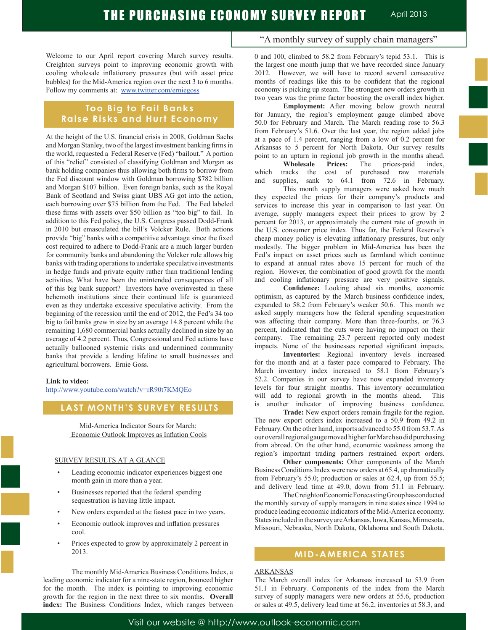Welcome to our April report covering March survey results. Creighton surveys point to improving economic growth with cooling wholesale inflationary pressures (but with asset price bubbles) for the Mid-America region over the next 3 to 6 months. Follow my comments at: www.twitter.com/erniegoss

## **Too Big to Fail Banks Raise Risks and Hurt Economy**

At the height of the U.S. financial crisis in 2008, Goldman Sachs and Morgan Stanley, two of the largest investment banking firms in the world, requested a Federal Reserve (Fed) "bailout." A portion of this "relief" consisted of classifying Goldman and Morgan as bank holding companies thus allowing both firms to borrow from the Fed discount window with Goldman borrowing \$782 billion and Morgan \$107 billion. Even foreign banks, such as the Royal Bank of Scotland and Swiss giant UBS AG got into the action, each borrowing over \$75 billion from the Fed. The Fed labeled these firms with assets over \$50 billion as "too big" to fail. In addition to this Fed policy, the U.S. Congress passed Dodd-Frank in 2010 but emasculated the bill's Volcker Rule. Both actions provide "big" banks with a competitive advantage since the fixed cost required to adhere to Dodd-Frank are a much larger burden for community banks and abandoning the Volcker rule allows big banks with trading operations to undertake speculative investments in hedge funds and private equity rather than traditional lending activities. What have been the unintended consequences of all of this big bank support? Investors have overinvested in these behemoth institutions since their continued life is guaranteed even as they undertake excessive speculative activity. From the beginning of the recession until the end of 2012, the Fed's 34 too big to fail banks grew in size by an average 14.8 percent while the remaining 1,680 commercial banks actually declined in size by an average of 4.2 percent. Thus, Congressional and Fed actions have actually ballooned systemic risks and undermined community banks that provide a lending lifeline to small businesses and agricultural borrowers. Ernie Goss.

#### **Link to video:**

http://www.youtube.com/watch?v=rR90t7KMQEo

## **LAST MONTH'S SURVEY RESULTS**

Mid-America Indicator Soars for March: Economic Outlook Improves as Inflation Cools

#### SURVEY RESULTS AT A GLANCE

- Leading economic indicator experiences biggest one month gain in more than a year.
- Businesses reported that the federal spending sequestration is having little impact.
- New orders expanded at the fastest pace in two years.
- Economic outlook improves and inflation pressures cool.
- Prices expected to grow by approximately 2 percent in 2013.

 The monthly Mid-America Business Conditions Index, a leading economic indicator for a nine-state region, bounced higher for the month. The index is pointing to improving economic growth for the region in the next three to six months. **Overall index:** The Business Conditions Index, which ranges between

## "A monthly survey of supply chain managers"

0 and 100, climbed to 58.2 from February's tepid 53.1. This is the largest one month jump that we have recorded since January 2012. However, we will have to record several consecutive months of readings like this to be confident that the regional economy is picking up steam. The strongest new orders growth in two years was the prime factor boosting the overall index higher.

**Employment:** After moving below growth neutral for January, the region's employment gauge climbed above 50.0 for February and March. The March reading rose to 56.3 from February's 51.6. Over the last year, the region added jobs at a pace of 1.4 percent, ranging from a low of 0.2 percent for Arkansas to 5 percent for North Dakota. Our survey results point to an upturn in regional job growth in the months ahead.

**Wholesale Prices:** The prices-paid index, which tracks the cost of purchased raw materials and supplies, sank to 64.1 from 72.6 in February. This month supply managers were asked how much

they expected the prices for their company's products and services to increase this year in comparison to last year. On average, supply managers expect their prices to grow by 2 percent for 2013, or approximately the current rate of growth in the U.S. consumer price index. Thus far, the Federal Reserve's cheap money policy is elevating inflationary pressures, but only modestly. The bigger problem in Mid-America has been the Fed's impact on asset prices such as farmland which continue to expand at annual rates above 15 percent for much of the region. However, the combination of good growth for the month and cooling inflationary pressure are very positive signals.

**Confidence:** Looking ahead six months, economic optimism, as captured by the March business confidence index, expanded to 58.2 from February's weaker 50.6. This month we asked supply managers how the federal spending sequestration was affecting their company. More than three-fourths, or 76.3 percent, indicated that the cuts were having no impact on their company. The remaining 23.7 percent reported only modest impacts. None of the businesses reported significant impacts.

**Inventories:** Regional inventory levels increased for the month and at a faster pace compared to February. The March inventory index increased to 58.1 from February's 52.2. Companies in our survey have now expanded inventory levels for four straight months. This inventory accumulation will add to regional growth in the months ahead. This is another indicator of improving business confidence.

**Trade:** New export orders remain fragile for the region. The new export orders index increased to a 50.9 from 49.2 in February. On the other hand, imports advanced to 55.0 from 53.7. As our overall regional gauge moved higher for March so did purchasing from abroad. On the other hand, economic weakness among the region's important trading partners restrained export orders.

**Other components:** Other components of the March Business Conditions Index were new orders at 65.4, up dramatically from February's 55.0; production or sales at 62.4, up from 55.5; and delivery lead time at 49.0, down from 51.1 in February.

 The Creighton Economic Forecasting Group has conducted the monthly survey of supply managers in nine states since 1994 to produce leading economic indicators of the Mid-America economy. States included in the survey are Arkansas, Iowa, Kansas, Minnesota, Missouri, Nebraska, North Dakota, Oklahoma and South Dakota.

## **MID-AMERICA STATES**

#### ARKANSAS

The March overall index for Arkansas increased to 53.9 from 51.1 in February. Components of the index from the March survey of supply managers were new orders at 55.6, production or sales at 49.5, delivery lead time at 56.2, inventories at 58.3, and

Visit our website @ http://www.outlook-economic.com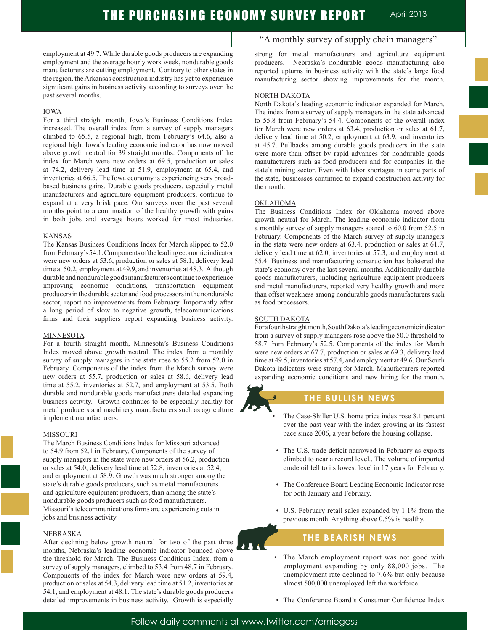employment at 49.7. While durable goods producers are expanding employment and the average hourly work week, nondurable goods manufacturers are cutting employment. Contrary to other states in the region, the Arkansas construction industry has yet to experience significant gains in business activity according to surveys over the past several months.

#### IOWA

For a third straight month, Iowa's Business Conditions Index increased. The overall index from a survey of supply managers climbed to 65.5, a regional high, from February's 64.6, also a regional high. Iowa's leading economic indicator has now moved above growth neutral for 39 straight months. Components of the index for March were new orders at 69.5, production or sales at 74.2, delivery lead time at 51.9, employment at 65.4, and inventories at 66.5. The Iowa economy is experiencing very broadbased business gains. Durable goods producers, especially metal manufacturers and agriculture equipment producers, continue to expand at a very brisk pace. Our surveys over the past several months point to a continuation of the healthy growth with gains in both jobs and average hours worked for most industries.

#### KANSAS

The Kansas Business Conditions Index for March slipped to 52.0 from February's 54.1. Components of the leading economic indicator were new orders at 53.6, production or sales at 58.1, delivery lead time at 50.2, employment at 49.9, and inventories at 48.3. Although durable and nondurable goods manufacturers continue to experience improving economic conditions, transportation equipment producers in the durable sector and food processors in the nondurable sector, report no improvements from February. Importantly after a long period of slow to negative growth, telecommunications firms and their suppliers report expanding business activity.

#### MINNESOTA

For a fourth straight month, Minnesota's Business Conditions Index moved above growth neutral. The index from a monthly survey of supply managers in the state rose to 55.2 from 52.0 in February. Components of the index from the March survey were new orders at 55.7, production or sales at 58.6, delivery lead time at 55.2, inventories at 52.7, and employment at 53.5. Both durable and nondurable goods manufacturers detailed expanding business activity. Growth continues to be especially healthy for metal producers and machinery manufacturers such as agriculture implement manufacturers.

#### MISSOURI

The March Business Conditions Index for Missouri advanced to 54.9 from 52.1 in February. Components of the survey of supply managers in the state were new orders at 56.2, production or sales at 54.0, delivery lead time at 52.8, inventories at 52.4, and employment at 58.9. Growth was much stronger among the state's durable goods producers, such as metal manufacturers and agriculture equipment producers, than among the state's nondurable goods producers such as food manufacturers. Missouri's telecommunications firms are experiencing cuts in jobs and business activity.

### NEBRASKA

After declining below growth neutral for two of the past three months, Nebraska's leading economic indicator bounced above the threshold for March. The Business Conditions Index, from a survey of supply managers, climbed to 53.4 from 48.7 in February. Components of the index for March were new orders at 59.4, production or sales at 54.3, delivery lead time at 51.2, inventories at 54.1, and employment at 48.1. The state's durable goods producers detailed improvements in business activity. Growth is especially

## "A monthly survey of supply chain managers"

strong for metal manufacturers and agriculture equipment producers. Nebraska's nondurable goods manufacturing also reported upturns in business activity with the state's large food manufacturing sector showing improvements for the month.

#### NORTH DAKOTA

North Dakota's leading economic indicator expanded for March. The index from a survey of supply managers in the state advanced to 55.8 from February's 54.4. Components of the overall index for March were new orders at 63.4, production or sales at 61.7, delivery lead time at 50.2, employment at 63.9, and inventories at 45.7. Pullbacks among durable goods producers in the state were more than offset by rapid advances for nondurable goods manufacturers such as food producers and for companies in the state's mining sector. Even with labor shortages in some parts of the state, businesses continued to expand construction activity for the month.

#### **OKLAHOMA**

The Business Conditions Index for Oklahoma moved above growth neutral for March. The leading economic indicator from a monthly survey of supply managers soared to 60.0 from 52.5 in February. Components of the March survey of supply managers in the state were new orders at 63.4, production or sales at 61.7, delivery lead time at 62.0, inventories at 57.3, and employment at 55.4. Business and manufacturing construction has bolstered the state's economy over the last several months. Additionally durable goods manufacturers, including agriculture equipment producers and metal manufacturers, reported very healthy growth and more than offset weakness among nondurable goods manufacturers such as food processors.

#### SOUTH DAKOTA

For a fourth straight month, South Dakota's leading economic indicator from a survey of supply managers rose above the 50.0 threshold to 58.7 from February's 52.5. Components of the index for March were new orders at 67.7, production or sales at 69.3, delivery lead time at 49.5, inventories at 57.4, and employment at 49.6. Our South Dakota indicators were strong for March. Manufacturers reported expanding economic conditions and new hiring for the month.

## **THE BULLISH NEWS**

- The Case-Shiller U.S. home price index rose 8.1 percent over the past year with the index growing at its fastest pace since 2006, a year before the housing collapse.
- The U.S. trade deficit narrowed in February as exports climbed to near a record level.. The volume of imported crude oil fell to its lowest level in 17 years for February.
- The Conference Board Leading Economic Indicator rose for both January and February.
- U.S. February retail sales expanded by 1.1% from the previous month. Anything above 0.5% is healthy.

## **THE BEARISH NEWS**

- The March employment report was not good with employment expanding by only 88,000 jobs. The unemployment rate declined to 7.6% but only because almost 500,000 unemployed left the workforce.
- The Conference Board's Consumer Confidence Index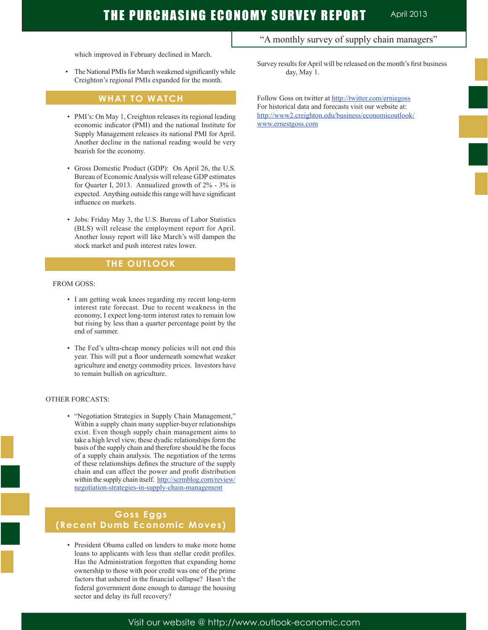which improved in February declined in March.

 • The National PMIs for March weakened significantly while Creighton's regional PMIs expanded for the month.

## **WHAT TO WATCH**

- PMI's: On May 1, Creighton releases its regional leading economic indicator (PMI) and the national Institute for Supply Management releases its national PMI for April. Another decline in the national reading would be very bearish for the economy.
- Gross Domestic Product (GDP): On April 26, the U.S. Bureau of Economic Analysis will release GDP estimates for Quarter I, 2013. Annualized growth of 2% - 3% is expected. Anything outside this range will have significant influence on markets.
- Jobs: Friday May 3, the U.S. Bureau of Labor Statistics (BLS) will release the employment report for April. Another lousy report will like March's will dampen the stock market and push interest rates lower.

## **THE OUTLOOK**

#### FROM GOSS:

- I am getting weak knees regarding my recent long-term interest rate forecast. Due to recent weakness in the economy, I expect long-term interest rates to remain low but rising by less than a quarter percentage point by the end of summer.
- The Fed's ultra-cheap money policies will not end this year. This will put a floor underneath somewhat weaker agriculture and energy commodity prices. Investors have to remain bullish on agriculture.

#### OTHER FORCASTS:

 • "Negotiation Strategies in Supply Chain Management," Within a supply chain many supplier-buyer relationships exist. Even though supply chain management aims to take a high level view, these dyadic relationships form the basis of the supply chain and therefore should be the focus of a supply chain analysis. The negotiation of the terms of these relationships defines the structure of the supply chain and can affect the power and profit distribution within the supply chain itself. http://scrmblog.com/review/ negotiation-strategies-in-supply-chain-management

## **Goss Eggs (Recent Dumb Economic Moves)**

 • President Obama called on lenders to make more home loans to applicants with less than stellar credit profiles. Has the Administration forgotten that expanding home ownership to those with poor credit was one of the prime factors that ushered in the financial collapse? Hasn't the federal government done enough to damage the housing sector and delay its full recovery?

"A monthly survey of supply chain managers"

Survey results for April will be released on the month's first business day, May 1.

Follow Goss on twitter at http://twitter.com/erniegoss For historical data and forecasts visit our website at: http://www2.creighton.edu/business/economicoutlook/ www.ernestgoss.com